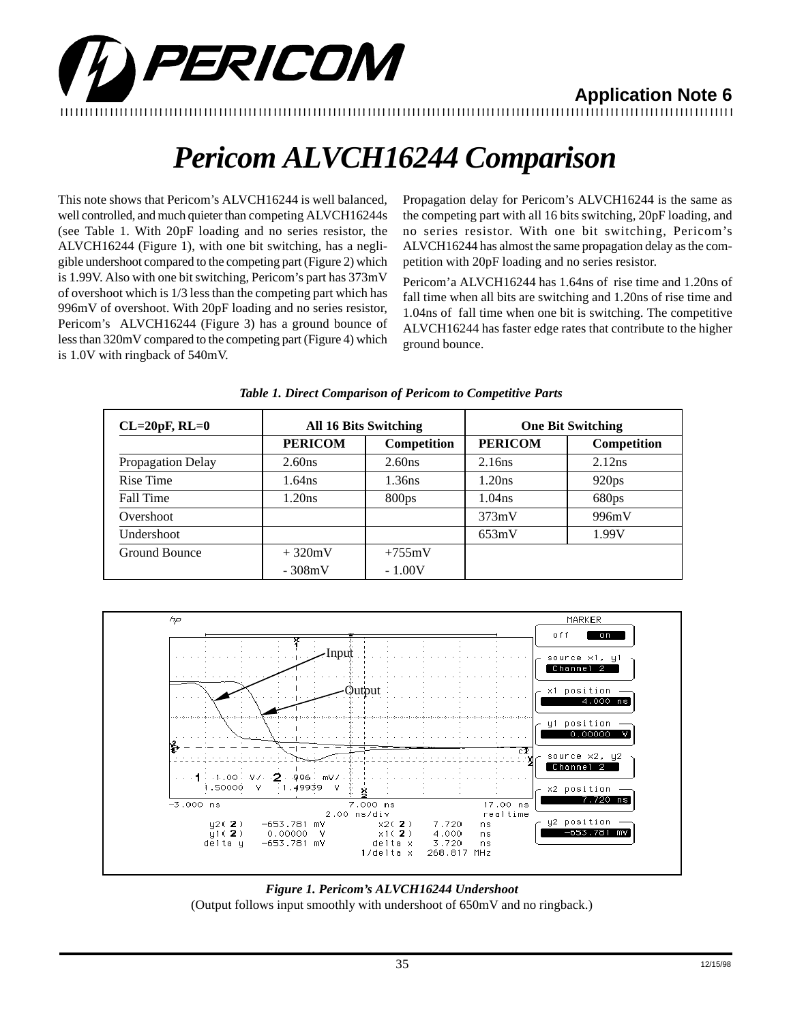

**Application Note 6** 

## *Pericom ALVCH16244 Comparison*

This note shows that Pericom's ALVCH16244 is well balanced, well controlled, and much quieter than competing ALVCH16244s (see Table 1. With 20pF loading and no series resistor, the ALVCH16244 (Figure 1), with one bit switching, has a negligible undershoot compared to the competing part (Figure 2) which is 1.99V. Also with one bit switching, Pericom's part has 373mV of overshoot which is 1/3 less than the competing part which has 996mV of overshoot. With 20pF loading and no series resistor, Pericom's ALVCH16244 (Figure 3) has a ground bounce of less than 320mV compared to the competing part (Figure 4) which is 1.0V with ringback of 540mV.

Propagation delay for Pericom's ALVCH16244 is the same as the competing part with all 16 bits switching, 20pF loading, and no series resistor. With one bit switching, Pericom's ALVCH16244 has almost the same propagation delay as the competition with 20pF loading and no series resistor.

Pericom'a ALVCH16244 has 1.64ns of rise time and 1.20ns of fall time when all bits are switching and 1.20ns of rise time and 1.04ns of fall time when one bit is switching. The competitive ALVCH16244 has faster edge rates that contribute to the higher ground bounce.

| $CL=20pF, RL=0$   |                | <b>All 16 Bits Switching</b> | <b>One Bit Switching</b> |             |  |
|-------------------|----------------|------------------------------|--------------------------|-------------|--|
|                   | <b>PERICOM</b> | Competition                  | <b>PERICOM</b>           | Competition |  |
| Propagation Delay | 2.60ns         | 2.60 <sub>ns</sub>           | 2.16ns                   | 2.12ns      |  |
| Rise Time         | $1.64$ ns      | 1.36ns                       | 1.20ns                   | 920ps       |  |
| Fall Time         | 1.20ns         | 800 <sub>ps</sub>            | 1.04 <sub>ns</sub>       | 680ps       |  |
| Overshoot         |                |                              | 373mV                    | 996mV       |  |
| Undershoot        |                |                              | 653mV                    | 1.99V       |  |
| Ground Bounce     | $+320mV$       | $+755mV$                     |                          |             |  |
|                   | $-308mV$       | $-1.00V$                     |                          |             |  |

### *Table 1. Direct Comparison of Pericom to Competitive Parts*



## *Figure 1. Pericom's ALVCH16244 Undershoot* (Output follows input smoothly with undershoot of 650mV and no ringback.)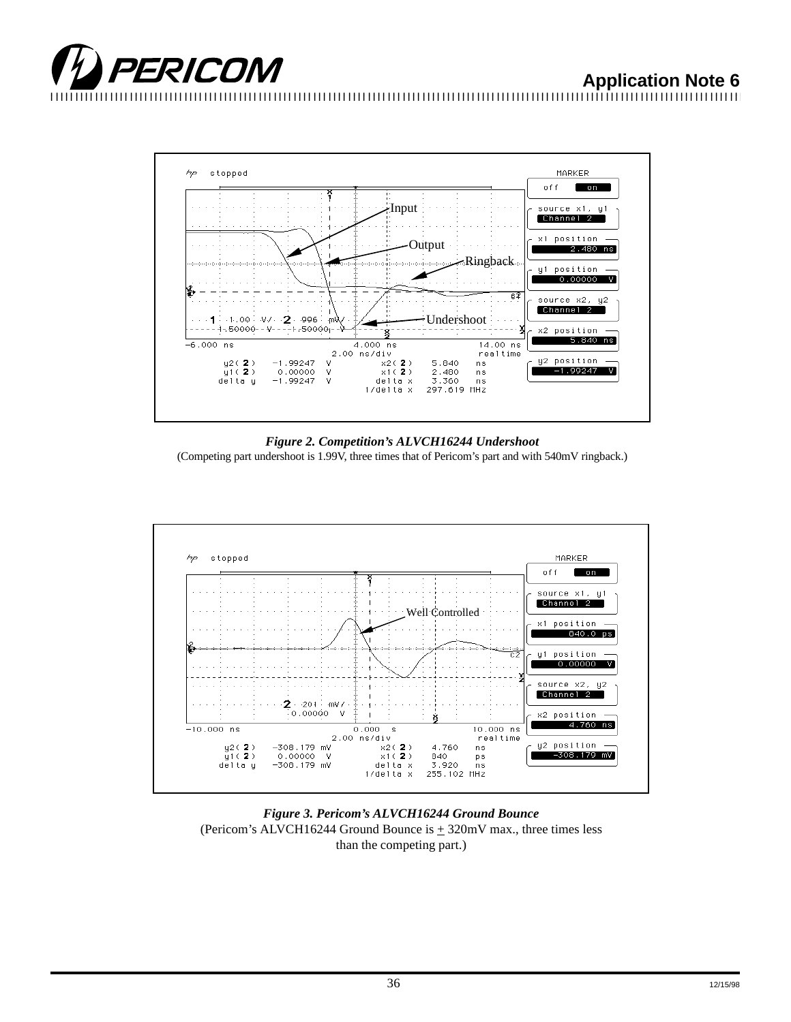





*Figure 2. Competition's ALVCH16244 Undershoot*

(Competing part undershoot is 1.99V, three times that of Pericom's part and with 540mV ringback.)



*Figure 3. Pericom's ALVCH16244 Ground Bounce* (Pericom's ALVCH16244 Ground Bounce is  $\pm$  320mV max., three times less than the competing part.)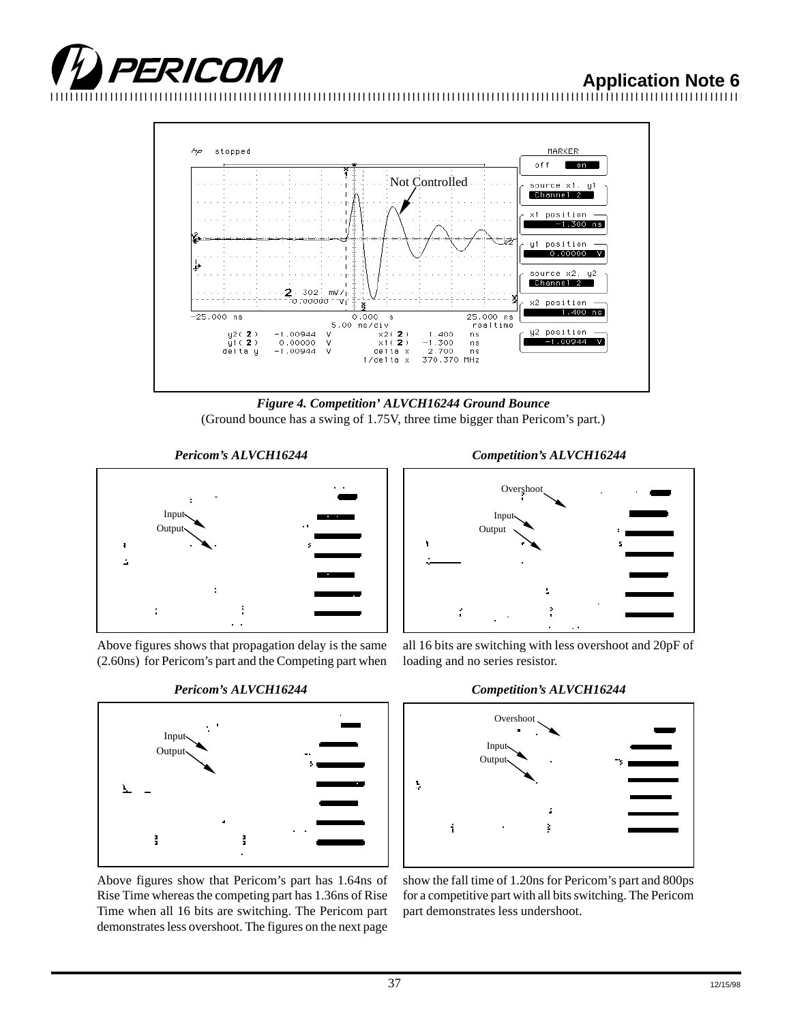# **TEXICONI** Application Note 6



*Figure 4. Competition' ALVCH16244 Ground Bounce* (Ground bounce has a swing of 1.75V, three time bigger than Pericom's part.)

*Pericom's ALVCH16244*



Above figures shows that propagation delay is the same (2.60ns) for Pericom's part and the Competing part when



Above figures show that Pericom's part has 1.64ns of Rise Time whereas the competing part has 1.36ns of Rise Time when all 16 bits are switching. The Pericom part demonstrates less overshoot. The figures on the next page





all 16 bits are switching with less overshoot and 20pF of loading and no series resistor.



show the fall time of 1.20ns for Pericom's part and 800ps for a competitive part with all bits switching. The Pericom part demonstrates less undershoot.